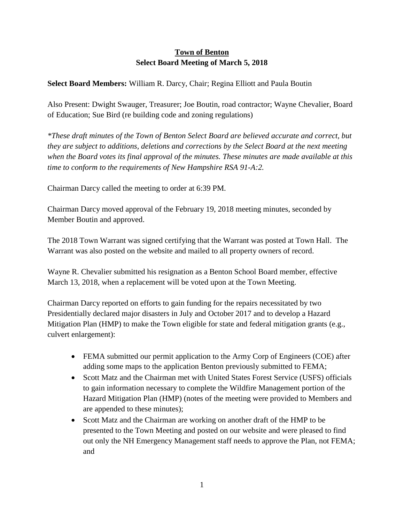## **Town of Benton Select Board Meeting of March 5, 2018**

## **Select Board Members:** William R. Darcy, Chair; Regina Elliott and Paula Boutin

Also Present: Dwight Swauger, Treasurer; Joe Boutin, road contractor; Wayne Chevalier, Board of Education; Sue Bird (re building code and zoning regulations)

*\*These draft minutes of the Town of Benton Select Board are believed accurate and correct, but they are subject to additions, deletions and corrections by the Select Board at the next meeting when the Board votes its final approval of the minutes. These minutes are made available at this time to conform to the requirements of New Hampshire RSA 91-A:2.*

Chairman Darcy called the meeting to order at 6:39 PM.

Chairman Darcy moved approval of the February 19, 2018 meeting minutes, seconded by Member Boutin and approved.

The 2018 Town Warrant was signed certifying that the Warrant was posted at Town Hall. The Warrant was also posted on the website and mailed to all property owners of record.

Wayne R. Chevalier submitted his resignation as a Benton School Board member, effective March 13, 2018, when a replacement will be voted upon at the Town Meeting.

Chairman Darcy reported on efforts to gain funding for the repairs necessitated by two Presidentially declared major disasters in July and October 2017 and to develop a Hazard Mitigation Plan (HMP) to make the Town eligible for state and federal mitigation grants (e.g., culvert enlargement):

- FEMA submitted our permit application to the Army Corp of Engineers (COE) after adding some maps to the application Benton previously submitted to FEMA;
- Scott Matz and the Chairman met with United States Forest Service (USFS) officials to gain information necessary to complete the Wildfire Management portion of the Hazard Mitigation Plan (HMP) (notes of the meeting were provided to Members and are appended to these minutes);
- Scott Matz and the Chairman are working on another draft of the HMP to be presented to the Town Meeting and posted on our website and were pleased to find out only the NH Emergency Management staff needs to approve the Plan, not FEMA; and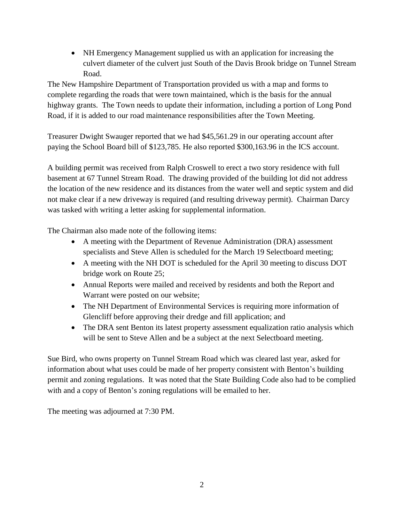• NH Emergency Management supplied us with an application for increasing the culvert diameter of the culvert just South of the Davis Brook bridge on Tunnel Stream Road.

The New Hampshire Department of Transportation provided us with a map and forms to complete regarding the roads that were town maintained, which is the basis for the annual highway grants. The Town needs to update their information, including a portion of Long Pond Road, if it is added to our road maintenance responsibilities after the Town Meeting.

Treasurer Dwight Swauger reported that we had \$45,561.29 in our operating account after paying the School Board bill of \$123,785. He also reported \$300,163.96 in the ICS account.

A building permit was received from Ralph Croswell to erect a two story residence with full basement at 67 Tunnel Stream Road. The drawing provided of the building lot did not address the location of the new residence and its distances from the water well and septic system and did not make clear if a new driveway is required (and resulting driveway permit). Chairman Darcy was tasked with writing a letter asking for supplemental information.

The Chairman also made note of the following items:

- A meeting with the Department of Revenue Administration (DRA) assessment specialists and Steve Allen is scheduled for the March 19 Selectboard meeting;
- A meeting with the NH DOT is scheduled for the April 30 meeting to discuss DOT bridge work on Route 25;
- Annual Reports were mailed and received by residents and both the Report and Warrant were posted on our website;
- The NH Department of Environmental Services is requiring more information of Glencliff before approving their dredge and fill application; and
- The DRA sent Benton its latest property assessment equalization ratio analysis which will be sent to Steve Allen and be a subject at the next Selectboard meeting.

Sue Bird, who owns property on Tunnel Stream Road which was cleared last year, asked for information about what uses could be made of her property consistent with Benton's building permit and zoning regulations. It was noted that the State Building Code also had to be complied with and a copy of Benton's zoning regulations will be emailed to her.

The meeting was adjourned at 7:30 PM.